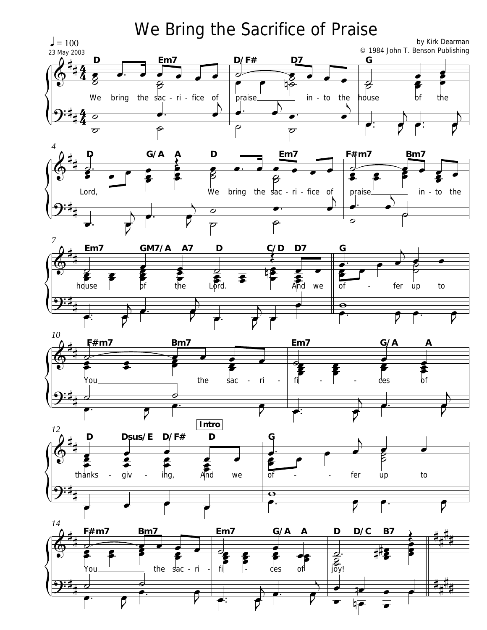